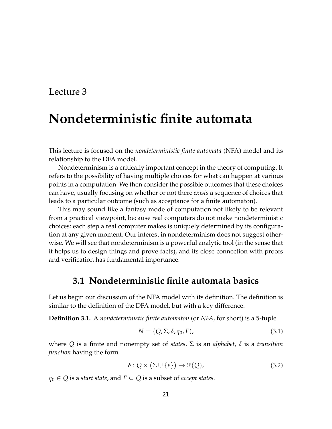# **Nondeterministic finite automata**

This lecture is focused on the *nondeterministic finite automata* (NFA) model and its relationship to the DFA model.

Nondeterminism is a critically important concept in the theory of computing. It refers to the possibility of having multiple choices for what can happen at various points in a computation. We then consider the possible outcomes that these choices can have, usually focusing on whether or not there *exists* a sequence of choices that leads to a particular outcome (such as acceptance for a finite automaton).

This may sound like a fantasy mode of computation not likely to be relevant from a practical viewpoint, because real computers do not make nondeterministic choices: each step a real computer makes is uniquely determined by its configuration at any given moment. Our interest in nondeterminism does not suggest otherwise. We will see that nondeterminism is a powerful analytic tool (in the sense that it helps us to design things and prove facts), and its close connection with proofs and verification has fundamental importance.

### **3.1 Nondeterministic finite automata basics**

Let us begin our discussion of the NFA model with its definition. The definition is similar to the definition of the DFA model, but with a key difference.

**Definition 3.1.** A *nondeterministic finite automaton* (or *NFA*, for short) is a 5-tuple

$$
N = (Q, \Sigma, \delta, q_0, F), \qquad (3.1)
$$

where *Q* is a finite and nonempty set of *states*, Σ is an *alphabet*, *δ* is a *transition function* having the form

$$
\delta: Q \times (\Sigma \cup \{\varepsilon\}) \to \mathcal{P}(Q), \tag{3.2}
$$

*q*<sup>0</sup> ∈ *Q* is a *start state*, and *F* ⊆ *Q* is a subset of *accept states*.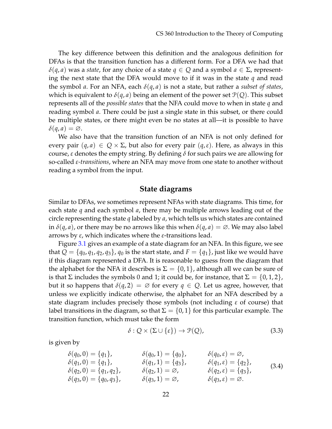The key difference between this definition and the analogous definition for DFAs is that the transition function has a different form. For a DFA we had that *δ*(*q*, *a*) was a *state*, for any choice of a state *q* ∈ *Q* and a symbol *a* ∈ Σ, representing the next state that the DFA would move to if it was in the state *q* and read the symbol *a*. For an NFA, each *δ*(*q*, *a*) is not a state, but rather a *subset of states*, which is equivalent to  $\delta(q, a)$  being an element of the power set  $\mathcal{P}(Q)$ . This subset represents all of the *possible states* that the NFA could move to when in state *q* and reading symbol *a*. There could be just a single state in this subset, or there could be multiple states, or there might even be no states at all—it is possible to have  $\delta(q, a) = \varnothing$ .

We also have that the transition function of an NFA is not only defined for every pair  $(q, a) \in Q \times \Sigma$ , but also for every pair  $(q, \varepsilon)$ . Here, as always in this course, *ε* denotes the empty string. By defining *δ* for such pairs we are allowing for so-called *ε-transitions*, where an NFA may move from one state to another without reading a symbol from the input.

#### **State diagrams**

<span id="page-1-0"></span>Similar to DFAs, we sometimes represent NFAs with state diagrams. This time, for each state *q* and each symbol *a*, there may be multiple arrows leading out of the circle representing the state *q* labeled by *a*, which tells us which states are contained in  $\delta(q, a)$ , or there may be no arrows like this when  $\delta(q, a) = \emptyset$ . We may also label arrows by *ε*, which indicates where the *ε*-transitions lead.

Figure [3.1](#page-1-0) gives an example of a state diagram for an NFA. In this figure, we see that  $Q = \{q_0, q_1, q_2, q_3\}$ ,  $q_0$  is the start state, and  $F = \{q_1\}$ , just like we would have if this diagram represented a DFA. It is reasonable to guess from the diagram that the alphabet for the NFA it describes is  $\Sigma = \{0, 1\}$ , although all we can be sure of is that  $\Sigma$  includes the symbols 0 and 1; it could be, for instance, that  $\Sigma = \{0, 1, 2\}$ , but it so happens that  $\delta(q, 2) = \emptyset$  for every  $q \in \mathcal{Q}$ . Let us agree, however, that unless we explicitly indicate otherwise, the alphabet for an NFA described by a state diagram includes precisely those symbols (not including *ε* of course) that label transitions in the diagram, so that  $\Sigma = \{0,1\}$  for this particular example. The transition function, which must take the form

$$
\delta: Q \times (\Sigma \cup \{\varepsilon\}) \to \mathcal{P}(Q), \tag{3.3}
$$

is given by

$$
\begin{array}{llll}\n\delta(q_0, 0) = \{q_1\}, & \delta(q_0, 1) = \{q_0\}, & \delta(q_0, \varepsilon) = \varnothing, \\
\delta(q_1, 0) = \{q_1\}, & \delta(q_1, 1) = \{q_3\}, & \delta(q_1, \varepsilon) = \{q_2\}, \\
\delta(q_2, 0) = \{q_1, q_2\}, & \delta(q_2, 1) = \varnothing, & \delta(q_2, \varepsilon) = \{q_3\}, \\
\delta(q_3, 0) = \{q_0, q_3\}, & \delta(q_3, 1) = \varnothing, & \delta(q_3, \varepsilon) = \varnothing.\n\end{array} \tag{3.4}
$$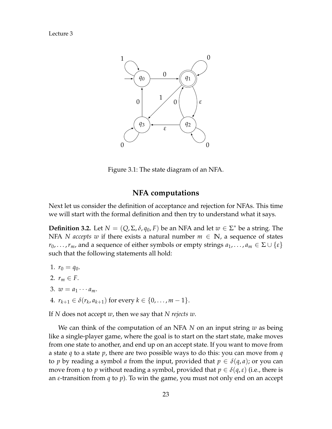

Figure 3.1: The state diagram of an NFA.

#### **NFA computations**

Next let us consider the definition of acceptance and rejection for NFAs. This time we will start with the formal definition and then try to understand what it says.

<span id="page-2-0"></span>**Definition 3.2.** Let  $N = (Q, \Sigma, \delta, q_0, F)$  be an NFA and let  $w \in \Sigma^*$  be a string. The NFA *N* accepts w if there exists a natural number  $m \in \mathbb{N}$ , a sequence of states  $r_0, \ldots, r_m$ , and a sequence of either symbols or empty strings  $a_1, \ldots, a_m \in \Sigma \cup \{\varepsilon\}$ such that the following statements all hold:

1.  $r_0 = q_0$ . 2.  $r_m \in F$ . 3.  $w = a_1 \cdots a_m$ . 4.  $r_{k+1} \in \delta(r_k, a_{k+1})$  for every  $k \in \{0, \ldots, m-1\}.$ 

If *N* does not accept *w*, then we say that *N rejects w*.

We can think of the computation of an NFA *N* on an input string *w* as being like a single-player game, where the goal is to start on the start state, make moves from one state to another, and end up on an accept state. If you want to move from a state *q* to a state *p*, there are two possible ways to do this: you can move from *q* to *p* by reading a symbol *a* from the input, provided that  $p \in \delta(q, a)$ ; or you can move from *q* to *p* without reading a symbol, provided that  $p \in \delta(q, \varepsilon)$  (i.e., there is an *ε*-transition from *q* to *p*). To win the game, you must not only end on an accept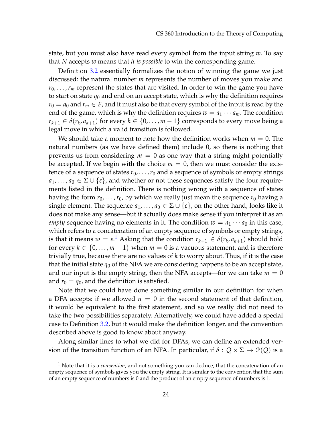state, but you must also have read every symbol from the input string *w*. To say that *N* accepts *w* means that *it is possible* to win the corresponding game.

Definition [3.2](#page-2-0) essentially formalizes the notion of winning the game we just discussed: the natural number *m* represents the number of moves you make and  $r_0, \ldots, r_m$  represent the states that are visited. In order to win the game you have to start on state  $q_0$  and end on an accept state, which is why the definition requires  $r_0 = q_0$  and  $r_m \in F$ , and it must also be that every symbol of the input is read by the end of the game, which is why the definition requires  $w = a_1 \cdots a_m$ . The condition  $r_{k+1} \in \delta(r_k, a_{k+1})$  for every  $k \in \{0, \ldots, m-1\}$  corresponds to every move being a legal move in which a valid transition is followed.

We should take a moment to note how the definition works when  $m = 0$ . The natural numbers (as we have defined them) include 0, so there is nothing that prevents us from considering  $m = 0$  as one way that a string might potentially be accepted. If we begin with the choice  $m = 0$ , then we must consider the existence of a sequence of states  $r_0, \ldots, r_0$  and a sequence of symbols or empty strings  $a_1, \ldots, a_0 \in \Sigma \cup \{\varepsilon\}$ , and whether or not these sequences satisfy the four requirements listed in the definition. There is nothing wrong with a sequence of states having the form  $r_0, \ldots, r_0$ , by which we really just mean the sequence  $r_0$  having a single element. The sequence  $a_1, \ldots, a_0 \in \Sigma \cup \{\varepsilon\}$ , on the other hand, looks like it does not make any sense—but it actually does make sense if you interpret it as an *empty* sequence having no elements in it. The condition  $w = a_1 \cdots a_0$  in this case, which refers to a concatenation of an empty sequence of symbols or empty strings, is that it means  $w = \varepsilon$ .<sup>[1](#page-3-0)</sup> Asking that the condition  $r_{k+1} \in \delta(r_k, a_{k+1})$  should hold for every  $k \in \{0, \ldots, m-1\}$  when  $m = 0$  is a vacuous statement, and is therefore trivially true, because there are no values of *k* to worry about. Thus, if it is the case that the initial state  $q_0$  of the NFA we are considering happens to be an accept state, and our input is the empty string, then the NFA accepts—for we can take  $m = 0$ and  $r_0 = q_0$ , and the definition is satisfied.

Note that we could have done something similar in our definition for when a DFA accepts: if we allowed  $n = 0$  in the second statement of that definition, it would be equivalent to the first statement, and so we really did not need to take the two possibilities separately. Alternatively, we could have added a special case to Definition [3.2,](#page-2-0) but it would make the definition longer, and the convention described above is good to know about anyway.

Along similar lines to what we did for DFAs, we can define an extended version of the transition function of an NFA. In particular, if  $\delta$  :  $Q \times \Sigma \rightarrow \mathcal{P}(Q)$  is a

<span id="page-3-0"></span><sup>1</sup> Note that it is a *convention*, and not something you can deduce, that the concatenation of an empty sequence of symbols gives you the empty string. It is similar to the convention that the sum of an empty sequence of numbers is 0 and the product of an empty sequence of numbers is 1.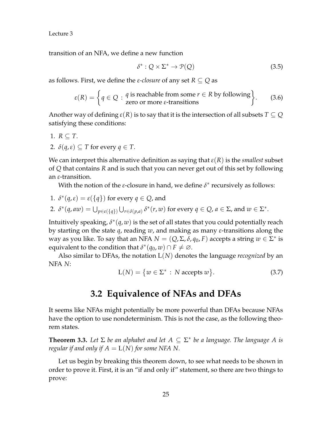transition of an NFA, we define a new function

$$
\delta^* : Q \times \Sigma^* \to \mathcal{P}(Q) \tag{3.5}
$$

as follows. First, we define the *ε-closure* of any set *R* ⊆ *Q* as

$$
\varepsilon(R) = \left\{ q \in Q : \begin{array}{l} q \text{ is reachable from some } r \in R \text{ by following} \\ \text{zero or more } \varepsilon\text{-transitions} \end{array} \right\}.
$$
 (3.6)

Another way of defining  $\varepsilon(R)$  is to say that it is the intersection of all subsets  $T \subseteq Q$ satisfying these conditions:

1. 
$$
R \subseteq T
$$
.

2.  $\delta(q,\varepsilon) \subseteq T$  for every  $q \in T$ .

We can interpret this alternative definition as saying that  $\varepsilon(R)$  is the *smallest* subset of *Q* that contains *R* and is such that you can never get out of this set by following an *ε*-transition.

With the notion of the *ε*-closure in hand, we define  $\delta^*$  recursively as follows:

1. 
$$
\delta^*(q, \varepsilon) = \varepsilon(\{q\})
$$
 for every  $q \in Q$ , and

2. 
$$
\delta^*(q, aw) = \bigcup_{p \in \varepsilon(\{q\})} \bigcup_{r \in \delta(p,a)} \delta^*(r, w)
$$
 for every  $q \in Q$ ,  $a \in \Sigma$ , and  $w \in \Sigma^*$ .

Intuitively speaking,  $\delta^*(q,w)$  is the set of all states that you could potentially reach by starting on the state *q*, reading *w*, and making as many *ε*-transitions along the way as you like. To say that an NFA  $N = (Q, \Sigma, \delta, q_0, F)$  accepts a string  $w \in \Sigma^*$  is equivalent to the condition that  $\delta^*(q_0, w) \cap F \neq \emptyset$ .

Also similar to DFAs, the notation L(*N*) denotes the language *recognized* by an NFA *N*:

$$
L(N) = \{ w \in \Sigma^* : N \text{ accepts } w \}. \tag{3.7}
$$

## **3.2 Equivalence of NFAs and DFAs**

It seems like NFAs might potentially be more powerful than DFAs because NFAs have the option to use nondeterminism. This is not the case, as the following theorem states.

**Theorem 3.3.** Let  $\Sigma$  be an alphabet and let  $A \subseteq \Sigma^*$  be a language. The language A is *regular if and only if*  $A = L(N)$  *for some NFA N.* 

Let us begin by breaking this theorem down, to see what needs to be shown in order to prove it. First, it is an "if and only if" statement, so there are two things to prove: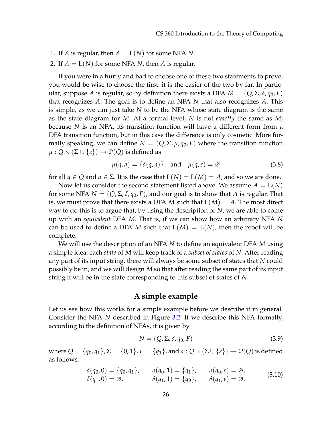- 1. If *A* is regular, then  $A = L(N)$  for some NFA *N*.
- 2. If  $A = L(N)$  for some NFA *N*, then *A* is regular.

If you were in a hurry and had to choose one of these two statements to prove, you would be wise to choose the first: it is the easier of the two by far. In particular, suppose *A* is regular, so by definition there exists a DFA  $M = (Q, \Sigma, \delta, q_0, F)$ that recognizes *A*. The goal is to define an NFA *N* that also recognizes *A*. This is simple, as we can just take *N* to be the NFA whose state diagram is the same as the state diagram for *M*. At a formal level, *N* is not *exactly* the same as *M*; because *N* is an NFA, its transition function will have a different form from a DFA transition function, but in this case the difference is only cosmetic. More formally speaking, we can define  $N = (Q, \Sigma, \mu, q_0, F)$  where the transition function  $\mu$  :  $Q \times (\Sigma \cup \{\varepsilon\}) \rightarrow \mathcal{P}(Q)$  is defined as

$$
\mu(q, a) = \{\delta(q, a)\} \quad \text{and} \quad \mu(q, \varepsilon) = \varnothing \tag{3.8}
$$

for all  $q \in Q$  and  $a \in \Sigma$ . It is the case that  $L(N) = L(M) = A$ , and so we are done.

Now let us consider the second statement listed above. We assume  $A = L(N)$ for some NFA  $N = (Q, \Sigma, \delta, q_0, F)$ , and our goal is to show that A is regular. That is, we must prove that there exists a DFA *M* such that  $L(M) = A$ . The most direct way to do this is to argue that, by using the description of *N*, we are able to come up with an *equivalent* DFA *M*. That is, if we can show how an arbitrary NFA *N* can be used to define a DFA M such that  $L(M) = L(N)$ , then the proof will be complete.

We will use the description of an NFA *N* to define an equivalent DFA *M* using a simple idea: each *state* of *M* will keep track of a *subset of states* of *N*. After reading any part of its input string, there will always be some subset of states that *N* could possibly be in, and we will design *M* so that after reading the same part of its input string it will be in the state corresponding to this subset of states of *N*.

#### **A simple example**

Let us see how this works for a simple example before we describe it in general. Consider the NFA *N* described in Figure [3.2.](#page-6-0) If we describe this NFA formally, according to the definition of NFAs, it is given by

$$
N = (Q, \Sigma, \delta, q_0, F) \tag{3.9}
$$

where  $Q = \{q_0, q_1\}, \Sigma = \{0, 1\}, F = \{q_1\}$ , and  $\delta: Q \times (\Sigma \cup \{\epsilon\}) \to \mathcal{P}(Q)$  is defined as follows:

$$
\begin{aligned}\n\delta(q_0, 0) &= \{q_0, q_1\}, & \delta(q_0, 1) &= \{q_1\}, & \delta(q_0, \varepsilon) &= \varnothing, \\
\delta(q_1, 0) &= \varnothing, & \delta(q_1, 1) &= \{q_0\}, & \delta(q_1, \varepsilon) &= \varnothing.\n\end{aligned}\n\tag{3.10}
$$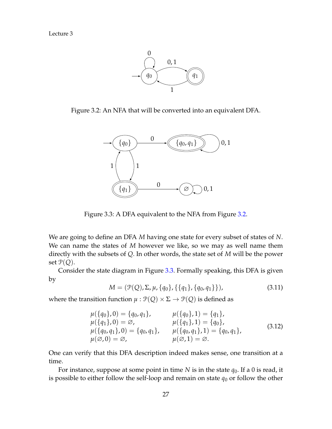

Figure 3.2: An NFA that will be converted into an equivalent DFA.

<span id="page-6-0"></span>

<span id="page-6-1"></span>Figure 3.3: A DFA equivalent to the NFA from Figure [3.2.](#page-6-0)

We are going to define an DFA *M* having one state for every subset of states of *N*. We can name the states of *M* however we like, so we may as well name them directly with the subsets of *Q*. In other words, the state set of *M* will be the power set  $P(Q)$ .

Consider the state diagram in Figure [3.3.](#page-6-1) Formally speaking, this DFA is given by

*M* =  $(\mathcal{P}(Q), \Sigma, \mu, \{q_0\}, \{\{q_1\}, \{q_0, q_1\}\}),$  (3.11)

where the transition function  $\mu$  :  $\mathcal{P}(Q) \times \Sigma \rightarrow \mathcal{P}(Q)$  is defined as

$$
\mu(\{q_0\}, 0) = \{q_0, q_1\}, \qquad \mu(\{q_0\}, 1) = \{q_1\}, \n\mu(\{q_1\}, 0) = \varnothing, \qquad \mu(\{q_1\}, 1) = \{q_0\}, \n\mu(\{q_0, q_1\}, 0) = \{q_0, q_1\}, \qquad \mu(\{q_0, q_1\}, 1) = \{q_0, q_1\}, \n\mu(\varnothing, 0) = \varnothing, \qquad \mu(\varnothing, 1) = \varnothing.
$$
\n(3.12)

One can verify that this DFA description indeed makes sense, one transition at a time.

For instance, suppose at some point in time *N* is in the state *q*0. If a 0 is read, it is possible to either follow the self-loop and remain on state  $q_0$  or follow the other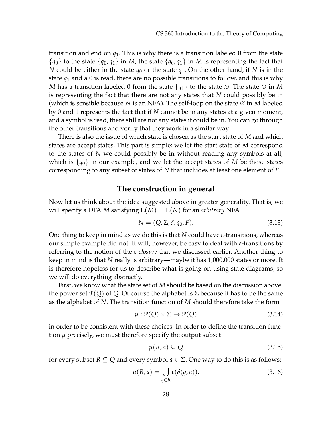transition and end on  $q_1$ . This is why there is a transition labeled 0 from the state  ${q_0}$  to the state  ${q_0, q_1}$  in *M*; the state  ${q_0, q_1}$  in *M* is representing the fact that *N* could be either in the state  $q_0$  or the state  $q_1$ . On the other hand, if *N* is in the state *q*<sup>1</sup> and a 0 is read, there are no possible transitions to follow, and this is why *<sup>M</sup>* has a transition labeled 0 from the state {*q*1} to the state ∅. The state ∅ in *<sup>M</sup>* is representing the fact that there are not any states that *N* could possibly be in (which is sensible because *N* is an NFA). The self-loop on the state ∅ in *M* labeled by 0 and 1 represents the fact that if *N* cannot be in any states at a given moment, and a symbol is read, there still are not any states it could be in. You can go through the other transitions and verify that they work in a similar way.

There is also the issue of which state is chosen as the start state of *M* and which states are accept states. This part is simple: we let the start state of *M* correspond to the states of *N* we could possibly be in without reading any symbols at all, which is  $\{q_0\}$  in our example, and we let the accept states of M be those states corresponding to any subset of states of *N* that includes at least one element of *F*.

#### **The construction in general**

Now let us think about the idea suggested above in greater generality. That is, we will specify a DFA *M* satisfying  $L(M) = L(N)$  for an *arbitrary* NFA

$$
N = (Q, \Sigma, \delta, q_0, F). \tag{3.13}
$$

One thing to keep in mind as we do this is that *N* could have *ε*-transitions, whereas our simple example did not. It will, however, be easy to deal with *ε*-transitions by referring to the notion of the *ε-closure* that we discussed earlier. Another thing to keep in mind is that *N* really is arbitrary—maybe it has 1,000,000 states or more. It is therefore hopeless for us to describe what is going on using state diagrams, so we will do everything abstractly.

First, we know what the state set of *M* should be based on the discussion above: the power set  $\mathcal{P}(Q)$  of Q. Of course the alphabet is  $\Sigma$  because it has to be the same as the alphabet of *N*. The transition function of *M* should therefore take the form

$$
\mu: \mathcal{P}(Q) \times \Sigma \to \mathcal{P}(Q) \tag{3.14}
$$

in order to be consistent with these choices. In order to define the transition function *µ* precisely, we must therefore specify the output subset

$$
\mu(R, a) \subseteq Q \tag{3.15}
$$

for every subset  $R \subseteq Q$  and every symbol  $a \in \Sigma$ . One way to do this is as follows:

<span id="page-7-0"></span>
$$
\mu(R, a) = \bigcup_{q \in R} \varepsilon(\delta(q, a)). \tag{3.16}
$$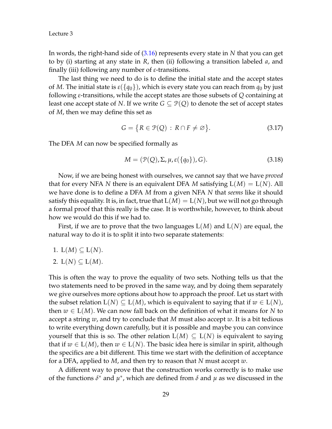In words, the right-hand side of [\(3.16\)](#page-7-0) represents every state in *N* that you can get to by (i) starting at any state in *R*, then (ii) following a transition labeled *a*, and finally (iii) following any number of *ε*-transitions.

The last thing we need to do is to define the initial state and the accept states of *M*. The initial state is  $\varepsilon({q_0})$ , which is every state you can reach from  $q_0$  by just following *ε*-transitions, while the accept states are those subsets of *Q* containing at least one accept state of *N*. If we write  $G \subseteq \mathcal{P}(Q)$  to denote the set of accept states of *M*, then we may define this set as

$$
G = \{ R \in \mathcal{P}(Q) : R \cap F \neq \varnothing \}. \tag{3.17}
$$

The DFA *M* can now be specified formally as

$$
M = (\mathcal{P}(Q), \Sigma, \mu, \varepsilon(\{q_0\}), G). \tag{3.18}
$$

Now, if we are being honest with ourselves, we cannot say that we have *proved* that for every NFA *N* there is an equivalent DFA *M* satisfying  $L(M) = L(N)$ . All we have done is to define a DFA *M* from a given NFA *N* that *seems* like it should satisfy this equality. It is, in fact, true that  $L(M) = L(N)$ , but we will not go through a formal proof that this really is the case. It is worthwhile, however, to think about how we would do this if we had to.

First, if we are to prove that the two languages  $L(M)$  and  $L(N)$  are equal, the natural way to do it is to split it into two separate statements:

1. 
$$
L(M) \subseteq L(N)
$$
.

2. 
$$
L(N) \subseteq L(M)
$$
.

This is often the way to prove the equality of two sets. Nothing tells us that the two statements need to be proved in the same way, and by doing them separately we give ourselves more options about how to approach the proof. Let us start with the subset relation  $L(N) \subseteq L(M)$ , which is equivalent to saying that if  $w \in L(N)$ , then  $w \in L(M)$ . We can now fall back on the definition of what it means for N to accept a string *w*, and try to conclude that *M* must also accept *w*. It is a bit tedious to write everything down carefully, but it is possible and maybe you can convince yourself that this is so. The other relation  $L(M) \subseteq L(N)$  is equivalent to saying that if  $w \in L(M)$ , then  $w \in L(N)$ . The basic idea here is similar in spirit, although the specifics are a bit different. This time we start with the definition of acceptance for a DFA, applied to *M*, and then try to reason that *N* must accept *w*.

A different way to prove that the construction works correctly is to make use of the functions  $\delta^*$  and  $\mu^*$ , which are defined from  $\delta$  and  $\mu$  as we discussed in the